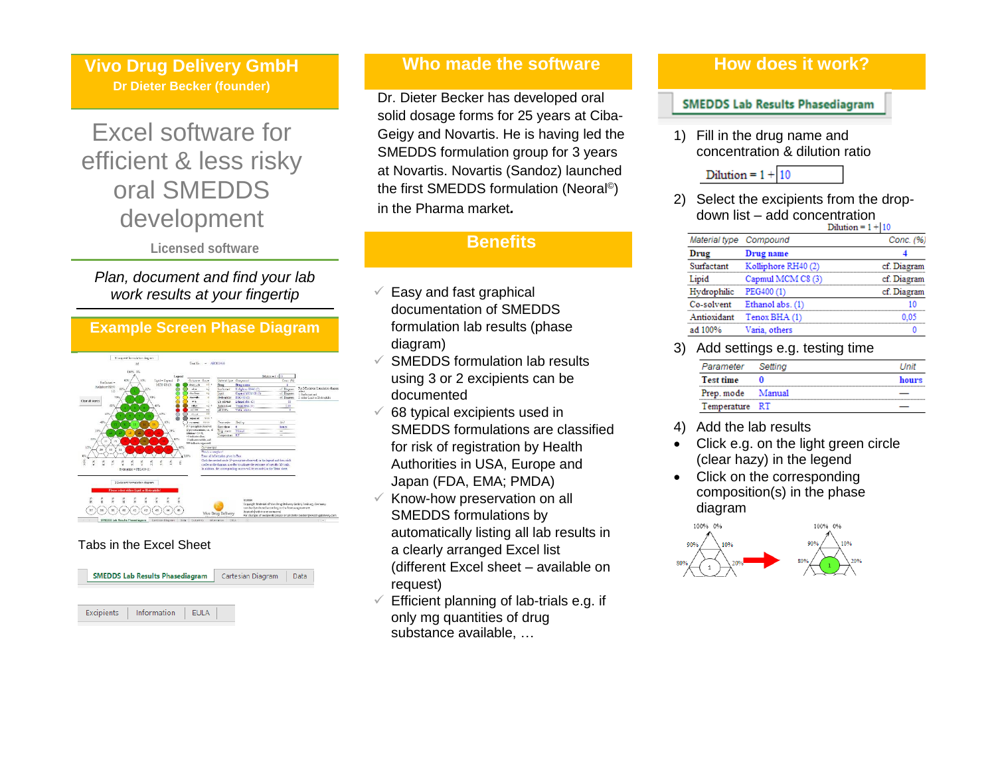**Vivo Drug Delivery GmbH Dr Dieter Becker (founder)**

# Excel software for efficient & less risky oral SMEDDS development

**Licensed software**

# *Plan, document and find your lab work results at your fingertip*

**Example Screen Phase Diagram**

### Tabs in the Excel Sheet



# **Who made the software**

Dr. Dieter Becker has developed oral solid dosage forms for 25 years at Ciba-Geigy and Novartis. He is having led the SMEDDS formulation group for 3 years at Novartis. Novartis (Sandoz) launched the first SMEDDS formulation (Neoral<sup>©</sup>) in the Pharma market*.*

# **Benefits**

- $\checkmark$  Easy and fast graphical documentation of SMEDDS formulation lab results (phase diagram)
- $\checkmark$  SMEDDS formulation lab results using 3 or 2 excipients can be documented
- $\checkmark$  68 typical excipients used in SMEDDS formulations are classified for risk of registration by Health Authorities in USA, Europe and Japan (FDA, EMA; PMDA)
- $\times$  Know-how preservation on all SMEDDS formulations by automatically listing all lab results in a clearly arranged Excel list (different Excel sheet – available on request)
- $\checkmark$  Efficient planning of lab-trials e.g. if only mg quantities of drug substance available, …

## **How does it work?**

#### **SMEDDS Lab Results Phasediagram**

1) Fill in the drug name and concentration & dilution ratio

$$
Dilution = 1 + \boxed{10}
$$

2) Select the excipients from the dropdown list – add concentration

|                        |                     | Dilution = 1 +  10 |
|------------------------|---------------------|--------------------|
| Material type Compound |                     | Conc. (%)          |
| Drug                   | Drug name           |                    |
| Surfactant             | Kolliphore RH40 (2) | cf. Diagram        |
| Lipid                  | Capmul MCM C8 (3)   | cf. Diagram        |
| Hydrophilic            | PEG400 (1)          | cf. Diagram        |
| Co-solvent             | Ethanol abs. (1)    | 10                 |
| Antioxidant            | Tenox BHA (1)       | 0.05               |
| ad 100%                | Varia, others       |                    |
|                        |                     |                    |

3) Add settings e.g. testing time

| Parameter         | Settina | I Init |
|-------------------|---------|--------|
| <b>Test time</b>  |         | hours  |
| Prep. mode Manual |         |        |
| Temperature RT    |         |        |

- 4) Add the lab results
- Click e.g. on the light green circle (clear hazy) in the legend
- Click on the corresponding composition(s) in the phase diagram